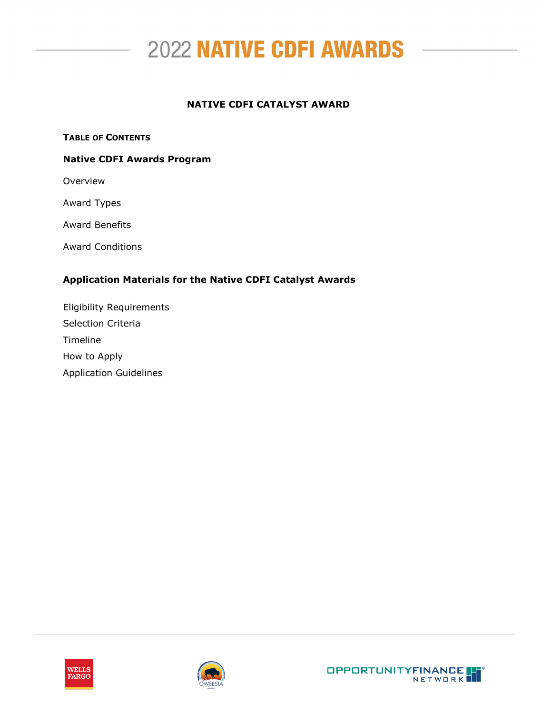## **NATIVE CDFI CATALYST AWARD**

#### **TABLE OF CONTENTS**

**Native CDFI Awards Program**

Overview

Award Types

Award Benefits

Award Conditions

## **Application Materials for the Native CDFI Catalyst Awards**

Eligibility Requirements Selection Criteria Timeline How to Apply Application Guidelines





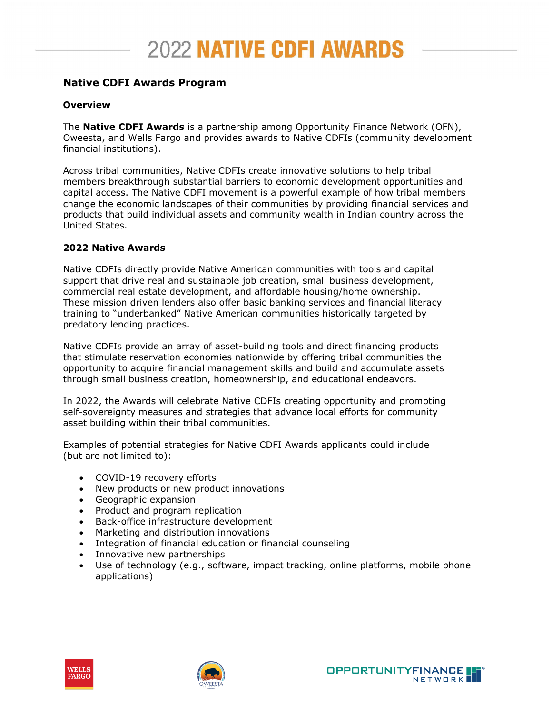## **Native CDFI Awards Program**

### **Overview**

The **Native CDFI Awards** is a partnership among Opportunity Finance Network (OFN), Oweesta, and Wells Fargo and provides awards to Native CDFIs (community development financial institutions).

Across tribal communities, Native CDFIs create innovative solutions to help tribal members breakthrough substantial barriers to economic development opportunities and capital access. The Native CDFI movement is a powerful example of how tribal members change the economic landscapes of their communities by providing financial services and products that build individual assets and community wealth in Indian country across the United States.

## **2022 Native Awards**

Native CDFIs directly provide Native American communities with tools and capital support that drive real and sustainable job creation, small business development, commercial real estate development, and affordable housing/home ownership. These mission driven lenders also offer basic banking services and financial literacy training to "underbanked" Native American communities historically targeted by predatory lending practices.

Native CDFIs provide an array of asset-building tools and direct financing products that stimulate reservation economies nationwide by offering tribal communities the opportunity to acquire financial management skills and build and accumulate assets through small business creation, homeownership, and educational endeavors.

In 2022, the Awards will celebrate Native CDFIs creating opportunity and promoting self-sovereignty measures and strategies that advance local efforts for community asset building within their tribal communities.

Examples of potential strategies for Native CDFI Awards applicants could include (but are not limited to):

- COVID-19 recovery efforts
- New products or new product innovations
- Geographic expansion
- Product and program replication
- Back-office infrastructure development
- Marketing and distribution innovations
- Integration of financial education or financial counseling
- Innovative new partnerships
- Use of technology (e.g., software, impact tracking, online platforms, mobile phone applications)



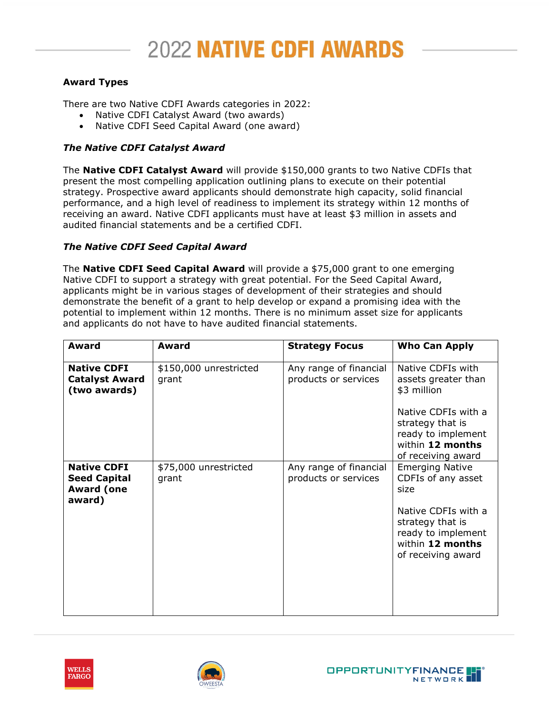## **Award Types**

There are two Native CDFI Awards categories in 2022:

- Native CDFI Catalyst Award (two awards)
- Native CDFI Seed Capital Award (one award)

## *The Native CDFI Catalyst Award*

The **Native CDFI Catalyst Award** will provide \$150,000 grants to two Native CDFIs that present the most compelling application outlining plans to execute on their potential strategy. Prospective award applicants should demonstrate high capacity, solid financial performance, and a high level of readiness to implement its strategy within 12 months of receiving an award. Native CDFI applicants must have at least \$3 million in assets and audited financial statements and be a certified CDFI.

#### *The Native CDFI Seed Capital Award*

The **Native CDFI Seed Capital Award** will provide a \$75,000 grant to one emerging Native CDFI to support a strategy with great potential. For the Seed Capital Award, applicants might be in various stages of development of their strategies and should demonstrate the benefit of a grant to help develop or expand a promising idea with the potential to implement within 12 months. There is no minimum asset size for applicants and applicants do not have to have audited financial statements.

| Award                                                                    | Award                           | <b>Strategy Focus</b>                          | <b>Who Can Apply</b>                                                                                                                                                                  |
|--------------------------------------------------------------------------|---------------------------------|------------------------------------------------|---------------------------------------------------------------------------------------------------------------------------------------------------------------------------------------|
| <b>Native CDFI</b><br><b>Catalyst Award</b><br>(two awards)              | \$150,000 unrestricted<br>grant | Any range of financial<br>products or services | Native CDFIs with<br>assets greater than<br>\$3 million<br>Native CDFIs with a<br>strategy that is<br>ready to implement<br>within 12 months                                          |
| <b>Native CDFI</b><br><b>Seed Capital</b><br><b>Award (one</b><br>award) | \$75,000 unrestricted<br>grant  | Any range of financial<br>products or services | of receiving award<br><b>Emerging Native</b><br>CDFIs of any asset<br>size<br>Native CDFIs with a<br>strategy that is<br>ready to implement<br>within 12 months<br>of receiving award |



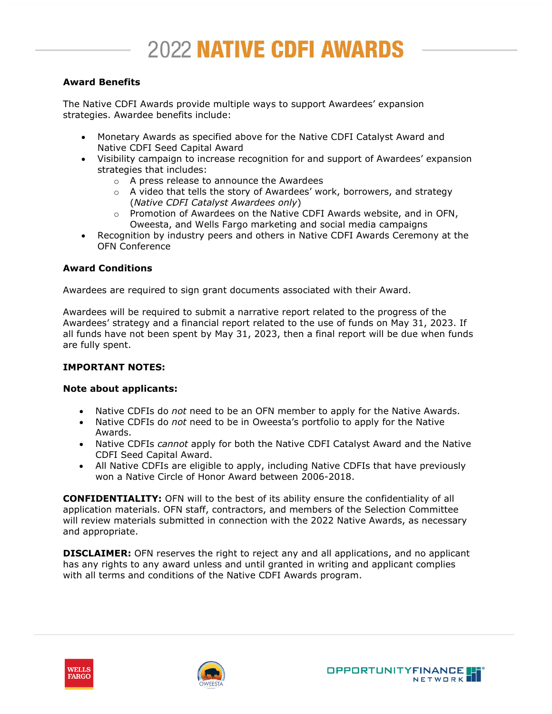## **Award Benefits**

The Native CDFI Awards provide multiple ways to support Awardees' expansion strategies. Awardee benefits include:

- Monetary Awards as specified above for the Native CDFI Catalyst Award and Native CDFI Seed Capital Award
- Visibility campaign to increase recognition for and support of Awardees' expansion strategies that includes:
	- o A press release to announce the Awardees
	- $\circ$  A video that tells the story of Awardees' work, borrowers, and strategy (*Native CDFI Catalyst Awardees only*)
	- $\circ$  Promotion of Awardees on the Native CDFI Awards website, and in OFN, Oweesta, and Wells Fargo marketing and social media campaigns
- Recognition by industry peers and others in Native CDFI Awards Ceremony at the OFN Conference

#### **Award Conditions**

Awardees are required to sign grant documents associated with their Award.

Awardees will be required to submit a narrative report related to the progress of the Awardees' strategy and a financial report related to the use of funds on May 31, 2023. If all funds have not been spent by May 31, 2023, then a final report will be due when funds are fully spent.

#### **IMPORTANT NOTES:**

#### **Note about applicants:**

- Native CDFIs do *not* need to be an OFN member to apply for the Native Awards.
- Native CDFIs do *not* need to be in Oweesta's portfolio to apply for the Native Awards.
- Native CDFIs *cannot* apply for both the Native CDFI Catalyst Award and the Native CDFI Seed Capital Award.
- All Native CDFIs are eligible to apply, including Native CDFIs that have previously won a Native Circle of Honor Award between 2006-2018.

**CONFIDENTIALITY:** OFN will to the best of its ability ensure the confidentiality of all application materials. OFN staff, contractors, and members of the Selection Committee will review materials submitted in connection with the 2022 Native Awards, as necessary and appropriate.

**DISCLAIMER:** OFN reserves the right to reject any and all applications, and no applicant has any rights to any award unless and until granted in writing and applicant complies with all terms and conditions of the Native CDFI Awards program.



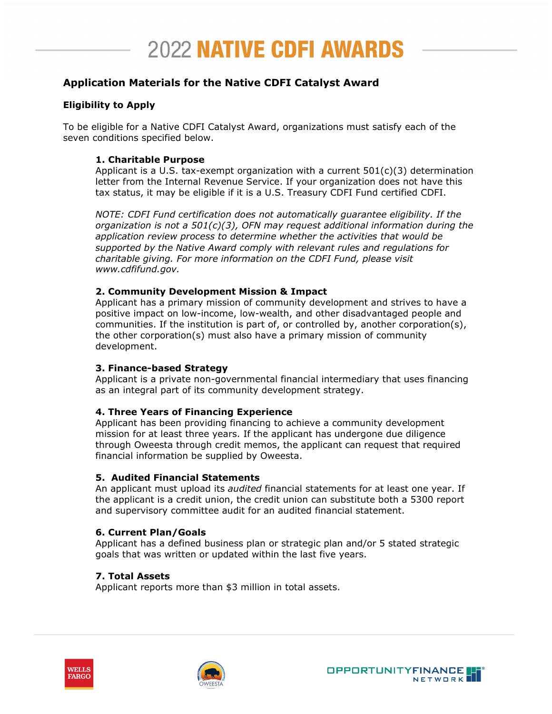## **Application Materials for the Native CDFI Catalyst Award**

## **Eligibility to Apply**

To be eligible for a Native CDFI Catalyst Award, organizations must satisfy each of the seven conditions specified below.

## **1. Charitable Purpose**

Applicant is a U.S. tax-exempt organization with a current  $501(c)(3)$  determination letter from the Internal Revenue Service. If your organization does not have this tax status, it may be eligible if it is a U.S. Treasury CDFI Fund certified CDFI.

*NOTE: CDFI Fund certification does not automatically guarantee eligibility. If the organization is not a 501(c)(3), OFN may request additional information during the application review process to determine whether the activities that would be supported by the Native Award comply with relevant rules and regulations for charitable giving. For more information on the CDFI Fund, please visit www.cdfifund.gov.*

## **2. Community Development Mission & Impact**

Applicant has a primary mission of community development and strives to have a positive impact on low-income, low-wealth, and other disadvantaged people and communities. If the institution is part of, or controlled by, another corporation(s), the other corporation(s) must also have a primary mission of community development.

## **3. Finance-based Strategy**

Applicant is a private non-governmental financial intermediary that uses financing as an integral part of its community development strategy.

## **4. Three Years of Financing Experience**

Applicant has been providing financing to achieve a community development mission for at least three years. If the applicant has undergone due diligence through Oweesta through credit memos, the applicant can request that required financial information be supplied by Oweesta.

#### **5. Audited Financial Statements**

An applicant must upload its *audited* financial statements for at least one year. If the applicant is a credit union, the credit union can substitute both a 5300 report and supervisory committee audit for an audited financial statement.

## **6. Current Plan/Goals**

Applicant has a defined business plan or strategic plan and/or 5 stated strategic goals that was written or updated within the last five years.

## **7. Total Assets**

Applicant reports more than \$3 million in total assets.



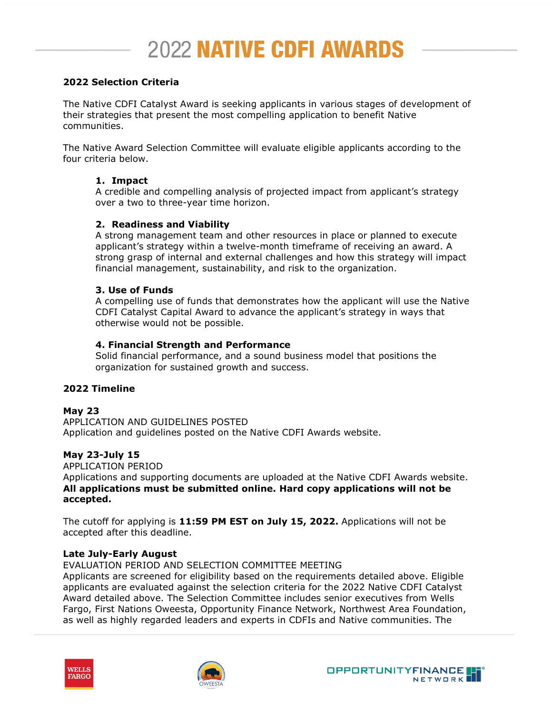## **2022 Selection Criteria**

The Native CDFI Catalyst Award is seeking applicants in various stages of development of their strategies that present the most compelling application to benefit Native communities.

The Native Award Selection Committee will evaluate eligible applicants according to the four criteria below.

### **1. Impact**

A credible and compelling analysis of projected impact from applicant's strategy over a two to three-year time horizon.

## **2. Readiness and Viability**

A strong management team and other resources in place or planned to execute applicant's strategy within a twelve-month timeframe of receiving an award. A strong grasp of internal and external challenges and how this strategy will impact financial management, sustainability, and risk to the organization.

#### **3. Use of Funds**

A compelling use of funds that demonstrates how the applicant will use the Native CDFI Catalyst Capital Award to advance the applicant's strategy in ways that otherwise would not be possible.

## **4. Financial Strength and Performance**

Solid financial performance, and a sound business model that positions the organization for sustained growth and success.

## **2022 Timeline**

## **May 23**

APPLICATION AND GUIDELINES POSTED Application and guidelines posted on the Native CDFI Awards website.

## **May 23-July 15**

APPLICATION PERIOD Applications and supporting documents are uploaded at the Native CDFI Awards website. **All applications must be submitted online. Hard copy applications will not be accepted.**

The cutoff for applying is **11:59 PM EST on July 15, 2022.** Applications will not be accepted after this deadline.

## **Late July-Early August**

EVALUATION PERIOD AND SELECTION COMMITTEE MEETING

Applicants are screened for eligibility based on the requirements detailed above. Eligible applicants are evaluated against the selection criteria for the 2022 Native CDFI Catalyst Award detailed above. The Selection Committee includes senior executives from Wells Fargo, First Nations Oweesta, Opportunity Finance Network, Northwest Area Foundation, as well as highly regarded leaders and experts in CDFIs and Native communities. The





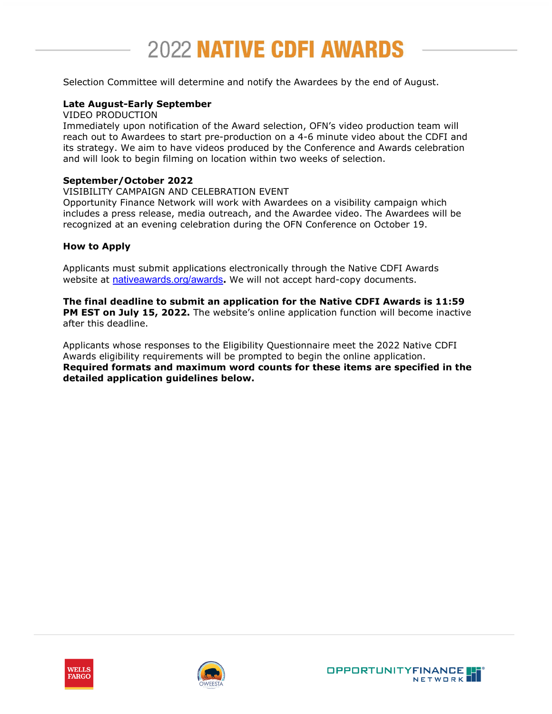Selection Committee will determine and notify the Awardees by the end of August.

## **Late August-Early September**

VIDEO PRODUCTION

Immediately upon notification of the Award selection, OFN's video production team will reach out to Awardees to start pre-production on a 4-6 minute video about the CDFI and its strategy. We aim to have videos produced by the Conference and Awards celebration and will look to begin filming on location within two weeks of selection.

#### **September/October 2022**

VISIBILITY CAMPAIGN AND CELEBRATION EVENT

Opportunity Finance Network will work with Awardees on a visibility campaign which includes a press release, media outreach, and the Awardee video. The Awardees will be recognized at an evening celebration during the OFN Conference on October 19.

#### **How to Apply**

Applicants must submit applications electronically through the Native CDFI Awards website at [nativeawards.org/awards](https://nativeawards.org/awards)**.** We will not accept hard-copy documents.

**The final deadline to submit an application for the Native CDFI Awards is 11:59 PM EST on July 15, 2022.** The website's online application function will become inactive after this deadline.

Applicants whose responses to the Eligibility Questionnaire meet the 2022 Native CDFI Awards eligibility requirements will be prompted to begin the online application. **Required formats and maximum word counts for these items are specified in the detailed application guidelines below.**





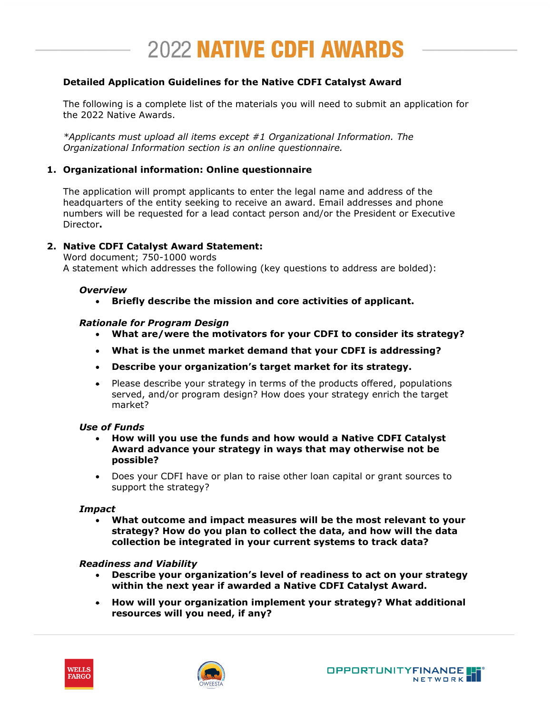## **Detailed Application Guidelines for the Native CDFI Catalyst Award**

The following is a complete list of the materials you will need to submit an application for the 2022 Native Awards.

*\*Applicants must upload all items except #1 Organizational Information. The Organizational Information section is an online questionnaire.*

#### **1. Organizational information: Online questionnaire**

The application will prompt applicants to enter the legal name and address of the headquarters of the entity seeking to receive an award. Email addresses and phone numbers will be requested for a lead contact person and/or the President or Executive Director**.**

#### **2. Native CDFI Catalyst Award Statement:**

Word document; 750-1000 words A statement which addresses the following (key questions to address are bolded):

#### *Overview*

• **Briefly describe the mission and core activities of applicant.** 

#### *Rationale for Program Design*

- **What are/were the motivators for your CDFI to consider its strategy?**
- **What is the unmet market demand that your CDFI is addressing?**
- **Describe your organization's target market for its strategy.**
- Please describe your strategy in terms of the products offered, populations served, and/or program design? How does your strategy enrich the target market?

#### *Use of Funds*

- **How will you use the funds and how would a Native CDFI Catalyst Award advance your strategy in ways that may otherwise not be possible?**
- Does your CDFI have or plan to raise other loan capital or grant sources to support the strategy?

#### *Impact*

• **What outcome and impact measures will be the most relevant to your strategy? How do you plan to collect the data, and how will the data collection be integrated in your current systems to track data?**

#### *Readiness and Viability*

- **Describe your organization's level of readiness to act on your strategy within the next year if awarded a Native CDFI Catalyst Award.**
- **How will your organization implement your strategy? What additional resources will you need, if any?**